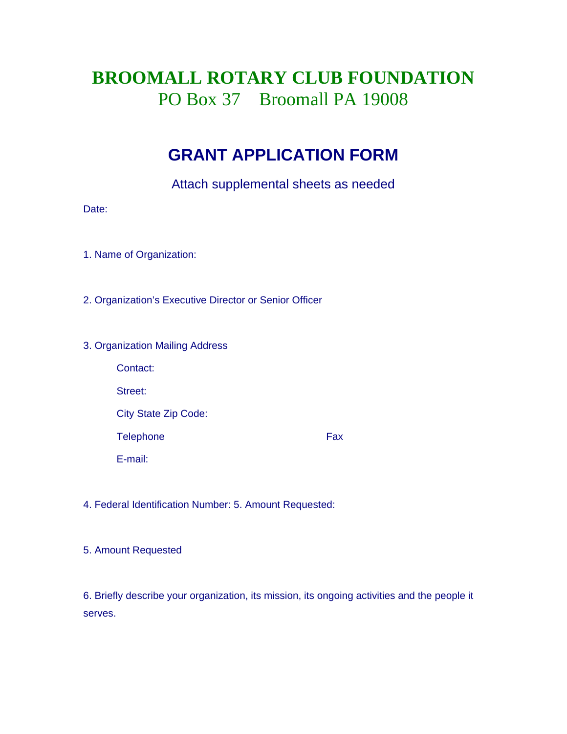# **BROOMALL ROTARY CLUB FOUNDATION**  PO Box 37 Broomall PA 19008

### **GRANT APPLICATION FORM**

Attach supplemental sheets as needed

Date:

1. Name of Organization:

2. Organization's Executive Director or Senior Officer

#### 3. Organization Mailing Address

| Contact:                    |     |
|-----------------------------|-----|
| Street:                     |     |
| <b>City State Zip Code:</b> |     |
| <b>Telephone</b>            | Fax |
| E-mail:                     |     |

4. Federal Identification Number: 5. Amount Requested:

5. Amount Requested

6. Briefly describe your organization, its mission, its ongoing activities and the people it serves.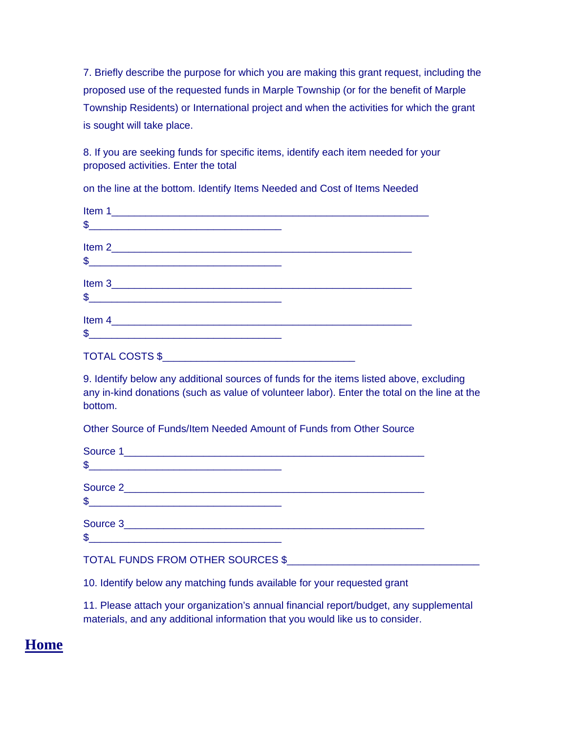7. Briefly describe the purpose for which you are making this grant request, including the proposed use of the requested funds in Marple Township (or for the benefit of Marple Township Residents) or International project and when the activities for which the grant is sought will take place.

8. If you are seeking funds for specific items, identify each item needed for your proposed activities. Enter the total

on the line at the bottom. Identify Items Needed and Cost of Items Needed

| Item 1                |  |
|-----------------------|--|
| $\frac{1}{2}$         |  |
|                       |  |
| $\sim$                |  |
|                       |  |
| $\frac{1}{2}$         |  |
|                       |  |
| $\frac{1}{2}$         |  |
| <b>TOTAL COSTS \$</b> |  |

9. Identify below any additional sources of funds for the items listed above, excluding any in-kind donations (such as value of volunteer labor). Enter the total on the line at the bottom.

Other Source of Funds/Item Needed Amount of Funds from Other Source

| $\frac{1}{2}$ |  |
|---------------|--|
|               |  |
| $\frac{1}{2}$ |  |
|               |  |
| $\frac{1}{2}$ |  |
|               |  |

#### TOTAL FUNDS FROM OTHER SOURCES \$

10. Identify below any matching funds available for your requested grant

11. Please attach your organization's annual financial report/budget, any supplemental materials, and any additional information that you would like us to consider.

### **Home**